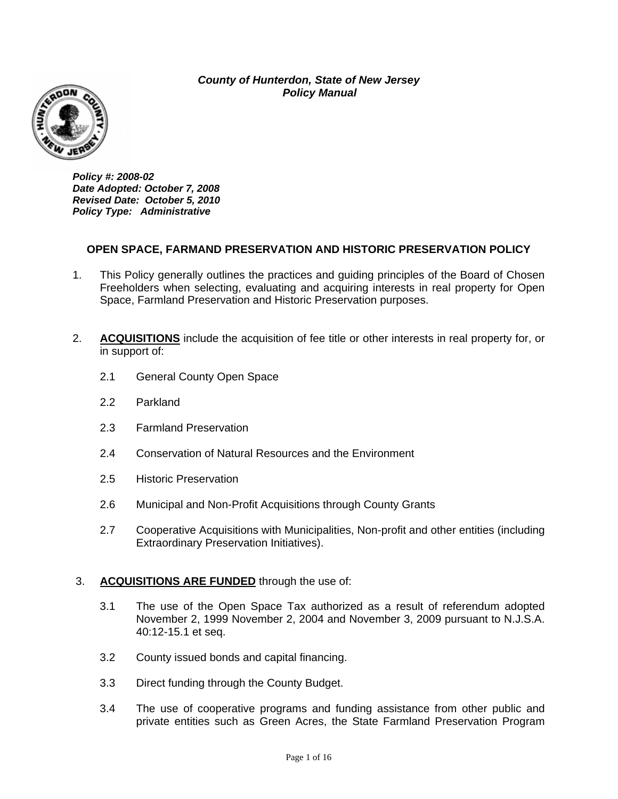*County of Hunterdon, State of New Jersey Policy Manual Policy Manual* 



*Policy #: 2008-02 Date Adopted: October 7, 2008 Revised Date: October 5, 2010 Policy Type: Administrative* 

## **OPEN SPACE, FARMAND PRESERVATION AND HISTORIC PRESERVATION POLICY**

- 1. This Policy generally outlines the practices and guiding principles of the Board of Chosen Freeholders when selecting, evaluating and acquiring interests in real property for Open Space, Farmland Preservation and Historic Preservation purposes.
- 2. **ACQUISITIONS** include the acquisition of fee title or other interests in real property for, or in support of:
	- 2.1 General County Open Space
	- 2.2 Parkland
	- 2.3 Farmland Preservation
	- 2.4 Conservation of Natural Resources and the Environment
	- 2.5 Historic Preservation
	- 2.6 Municipal and Non-Profit Acquisitions through County Grants
	- 2.7 Cooperative Acquisitions with Municipalities, Non-profit and other entities (including Extraordinary Preservation Initiatives).

#### 3. **ACQUISITIONS ARE FUNDED** through the use of:

- 3.1 The use of the Open Space Tax authorized as a result of referendum adopted November 2, 1999 November 2, 2004 and November 3, 2009 pursuant to N.J.S.A. 40:12-15.1 et seq.
- 3.2 County issued bonds and capital financing.
- 3.3 Direct funding through the County Budget.
- 3.4 The use of cooperative programs and funding assistance from other public and private entities such as Green Acres, the State Farmland Preservation Program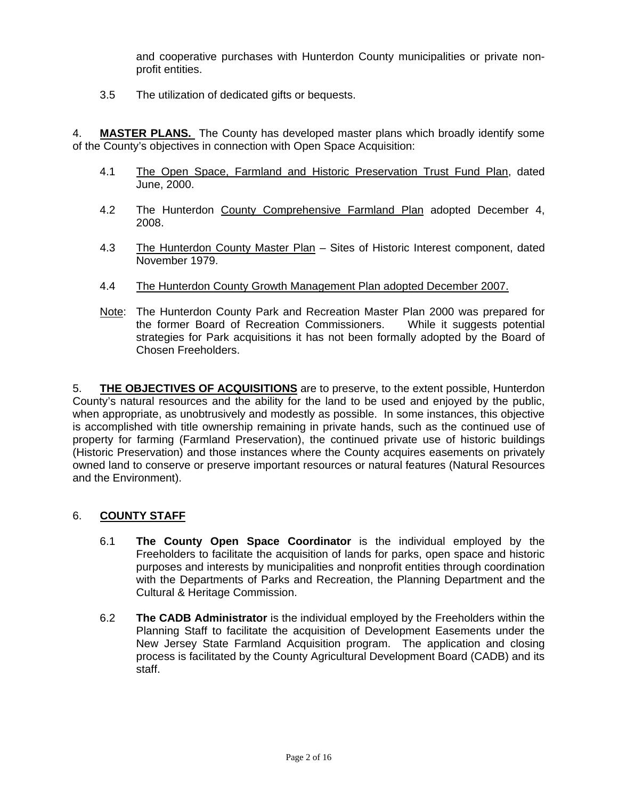and cooperative purchases with Hunterdon County municipalities or private nonprofit entities.

3.5 The utilization of dedicated gifts or bequests.

4. **MASTER PLANS.** The County has developed master plans which broadly identify some of the County's objectives in connection with Open Space Acquisition:

- 4.1 The Open Space, Farmland and Historic Preservation Trust Fund Plan, dated June, 2000.
- 4.2 The Hunterdon County Comprehensive Farmland Plan adopted December 4, 2008.
- 4.3 The Hunterdon County Master Plan Sites of Historic Interest component, dated November 1979.
- 4.4 The Hunterdon County Growth Management Plan adopted December 2007.
- Note: The Hunterdon County Park and Recreation Master Plan 2000 was prepared for the former Board of Recreation Commissioners. While it suggests potential strategies for Park acquisitions it has not been formally adopted by the Board of Chosen Freeholders.

5. **THE OBJECTIVES OF ACQUISITIONS** are to preserve, to the extent possible, Hunterdon County's natural resources and the ability for the land to be used and enjoyed by the public, when appropriate, as unobtrusively and modestly as possible. In some instances, this objective is accomplished with title ownership remaining in private hands, such as the continued use of property for farming (Farmland Preservation), the continued private use of historic buildings (Historic Preservation) and those instances where the County acquires easements on privately owned land to conserve or preserve important resources or natural features (Natural Resources and the Environment).

## 6. **COUNTY STAFF**

- 6.1 **The County Open Space Coordinator** is the individual employed by the Freeholders to facilitate the acquisition of lands for parks, open space and historic purposes and interests by municipalities and nonprofit entities through coordination with the Departments of Parks and Recreation, the Planning Department and the Cultural & Heritage Commission.
- 6.2 **The CADB Administrator** is the individual employed by the Freeholders within the Planning Staff to facilitate the acquisition of Development Easements under the New Jersey State Farmland Acquisition program. The application and closing process is facilitated by the County Agricultural Development Board (CADB) and its staff.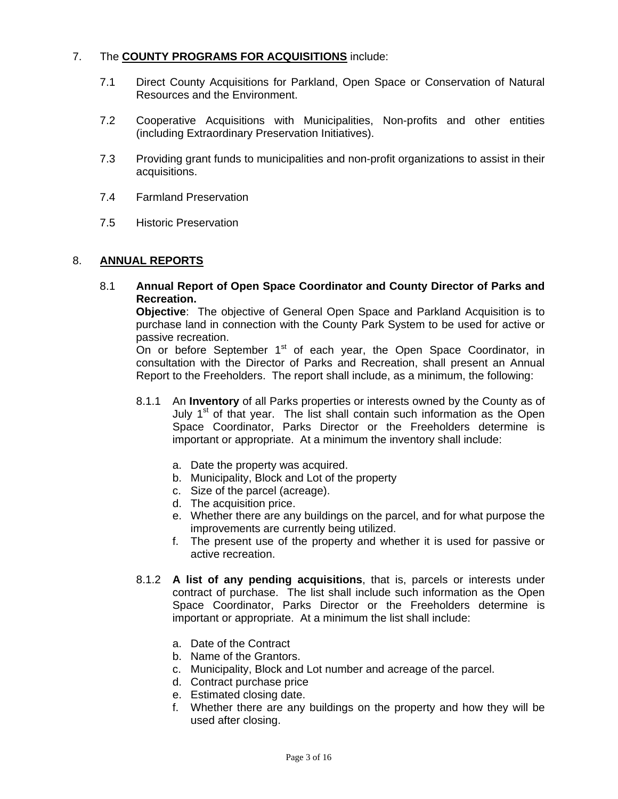## 7. The **COUNTY PROGRAMS FOR ACQUISITIONS** include:

- 7.1 Direct County Acquisitions for Parkland, Open Space or Conservation of Natural Resources and the Environment.
- 7.2 Cooperative Acquisitions with Municipalities, Non-profits and other entities (including Extraordinary Preservation Initiatives).
- 7.3 Providing grant funds to municipalities and non-profit organizations to assist in their acquisitions.
- 7.4 Farmland Preservation
- 7.5 Historic Preservation

### 8. **ANNUAL REPORTS**

8.1 **Annual Report of Open Space Coordinator and County Director of Parks and Recreation.**

**Objective**: The objective of General Open Space and Parkland Acquisition is to purchase land in connection with the County Park System to be used for active or passive recreation.

On or before September  $1<sup>st</sup>$  of each year, the Open Space Coordinator, in consultation with the Director of Parks and Recreation, shall present an Annual Report to the Freeholders. The report shall include, as a minimum, the following:

- 8.1.1 An **Inventory** of all Parks properties or interests owned by the County as of July  $1<sup>st</sup>$  of that year. The list shall contain such information as the Open Space Coordinator, Parks Director or the Freeholders determine is important or appropriate. At a minimum the inventory shall include:
	- a. Date the property was acquired.
	- b. Municipality, Block and Lot of the property
	- c. Size of the parcel (acreage).
	- d. The acquisition price.
	- e. Whether there are any buildings on the parcel, and for what purpose the improvements are currently being utilized.
	- f. The present use of the property and whether it is used for passive or active recreation.
- 8.1.2 **A list of any pending acquisitions**, that is, parcels or interests under contract of purchase. The list shall include such information as the Open Space Coordinator, Parks Director or the Freeholders determine is important or appropriate. At a minimum the list shall include:
	- a. Date of the Contract
	- b. Name of the Grantors.
	- c. Municipality, Block and Lot number and acreage of the parcel.
	- d. Contract purchase price
	- e. Estimated closing date.
	- f. Whether there are any buildings on the property and how they will be used after closing.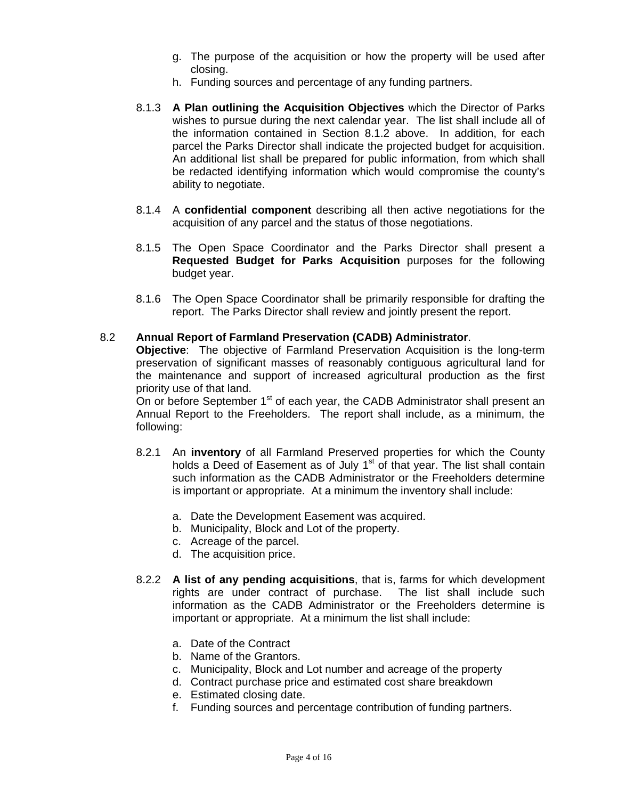- g. The purpose of the acquisition or how the property will be used after closing.
- h. Funding sources and percentage of any funding partners.
- 8.1.3 **A Plan outlining the Acquisition Objectives** which the Director of Parks wishes to pursue during the next calendar year. The list shall include all of the information contained in Section 8.1.2 above. In addition, for each parcel the Parks Director shall indicate the projected budget for acquisition. An additional list shall be prepared for public information, from which shall be redacted identifying information which would compromise the county's ability to negotiate.
- 8.1.4 A **confidential component** describing all then active negotiations for the acquisition of any parcel and the status of those negotiations.
- 8.1.5 The Open Space Coordinator and the Parks Director shall present a **Requested Budget for Parks Acquisition** purposes for the following budget year.
- 8.1.6 The Open Space Coordinator shall be primarily responsible for drafting the report. The Parks Director shall review and jointly present the report.

#### 8.2 **Annual Report of Farmland Preservation (CADB) Administrator**.

**Objective**: The objective of Farmland Preservation Acquisition is the long-term preservation of significant masses of reasonably contiguous agricultural land for the maintenance and support of increased agricultural production as the first priority use of that land.

On or before September  $1<sup>st</sup>$  of each year, the CADB Administrator shall present an Annual Report to the Freeholders. The report shall include, as a minimum, the following:

- 8.2.1 An **inventory** of all Farmland Preserved properties for which the County holds a Deed of Easement as of July  $1<sup>st</sup>$  of that year. The list shall contain such information as the CADB Administrator or the Freeholders determine is important or appropriate. At a minimum the inventory shall include:
	- a. Date the Development Easement was acquired.
	- b. Municipality, Block and Lot of the property.
	- c. Acreage of the parcel.
	- d. The acquisition price.
- 8.2.2 **A list of any pending acquisitions**, that is, farms for which development rights are under contract of purchase. The list shall include such information as the CADB Administrator or the Freeholders determine is important or appropriate. At a minimum the list shall include:
	- a. Date of the Contract
	- b. Name of the Grantors.
	- c. Municipality, Block and Lot number and acreage of the property
	- d. Contract purchase price and estimated cost share breakdown
	- e. Estimated closing date.
	- f. Funding sources and percentage contribution of funding partners.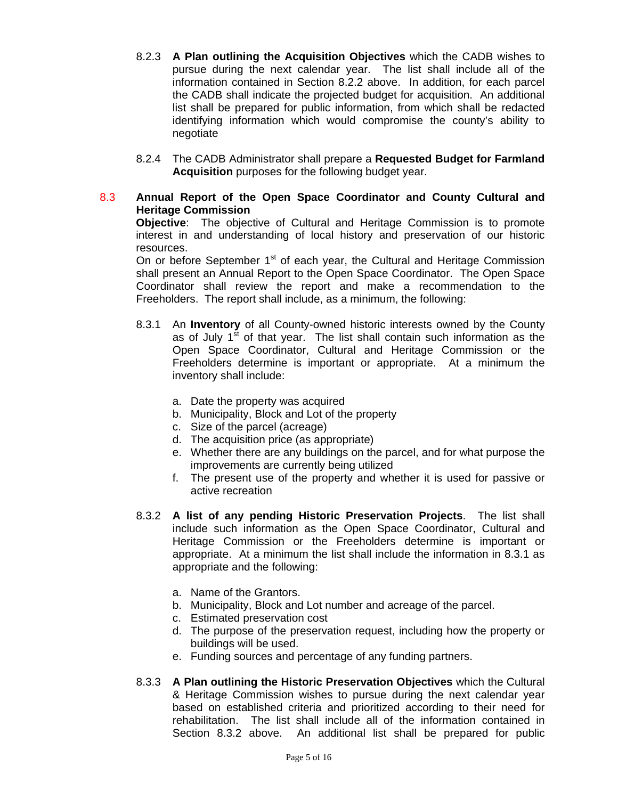- 8.2.3 **A Plan outlining the Acquisition Objectives** which the CADB wishes to pursue during the next calendar year. The list shall include all of the information contained in Section 8.2.2 above. In addition, for each parcel the CADB shall indicate the projected budget for acquisition. An additional list shall be prepared for public information, from which shall be redacted identifying information which would compromise the county's ability to negotiate
- 8.2.4 The CADB Administrator shall prepare a **Requested Budget for Farmland Acquisition** purposes for the following budget year.
- 8.3 **Annual Report of the Open Space Coordinator and County Cultural and Heritage Commission**

**Objective**: The objective of Cultural and Heritage Commission is to promote interest in and understanding of local history and preservation of our historic resources.

On or before September  $1<sup>st</sup>$  of each year, the Cultural and Heritage Commission shall present an Annual Report to the Open Space Coordinator. The Open Space Coordinator shall review the report and make a recommendation to the Freeholders. The report shall include, as a minimum, the following:

- 8.3.1 An **Inventory** of all County-owned historic interests owned by the County as of July  $1<sup>st</sup>$  of that year. The list shall contain such information as the Open Space Coordinator, Cultural and Heritage Commission or the Freeholders determine is important or appropriate. At a minimum the inventory shall include:
	- a. Date the property was acquired
	- b. Municipality, Block and Lot of the property
	- c. Size of the parcel (acreage)
	- d. The acquisition price (as appropriate)
	- e. Whether there are any buildings on the parcel, and for what purpose the improvements are currently being utilized
	- f. The present use of the property and whether it is used for passive or active recreation
- 8.3.2 **A list of any pending Historic Preservation Projects**. The list shall include such information as the Open Space Coordinator, Cultural and Heritage Commission or the Freeholders determine is important or appropriate. At a minimum the list shall include the information in 8.3.1 as appropriate and the following:
	- a. Name of the Grantors.
	- b. Municipality, Block and Lot number and acreage of the parcel.
	- c. Estimated preservation cost
	- d. The purpose of the preservation request, including how the property or buildings will be used.
	- e. Funding sources and percentage of any funding partners.
- 8.3.3 **A Plan outlining the Historic Preservation Objectives** which the Cultural & Heritage Commission wishes to pursue during the next calendar year based on established criteria and prioritized according to their need for rehabilitation. The list shall include all of the information contained in Section 8.3.2 above. An additional list shall be prepared for public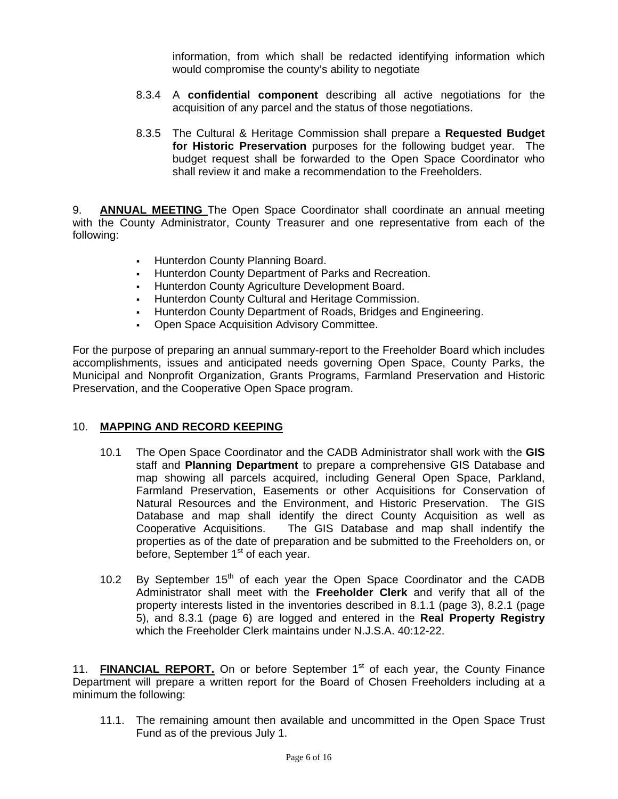information, from which shall be redacted identifying information which would compromise the county's ability to negotiate

- 8.3.4 A **confidential component** describing all active negotiations for the acquisition of any parcel and the status of those negotiations.
- 8.3.5 The Cultural & Heritage Commission shall prepare a **Requested Budget for Historic Preservation** purposes for the following budget year. The budget request shall be forwarded to the Open Space Coordinator who shall review it and make a recommendation to the Freeholders.

9. **ANNUAL MEETING** The Open Space Coordinator shall coordinate an annual meeting with the County Administrator, County Treasurer and one representative from each of the following:

- **Hunterdon County Planning Board.**
- Hunterdon County Department of Parks and Recreation.
- **Hunterdon County Agriculture Development Board.**
- **Hunterdon County Cultural and Heritage Commission.**
- Hunterdon County Department of Roads, Bridges and Engineering.
- **Open Space Acquisition Advisory Committee.**

For the purpose of preparing an annual summary-report to the Freeholder Board which includes accomplishments, issues and anticipated needs governing Open Space, County Parks, the Municipal and Nonprofit Organization, Grants Programs, Farmland Preservation and Historic Preservation, and the Cooperative Open Space program.

#### 10. **MAPPING AND RECORD KEEPING**

- 10.1 The Open Space Coordinator and the CADB Administrator shall work with the **GIS** staff and **Planning Department** to prepare a comprehensive GIS Database and map showing all parcels acquired, including General Open Space, Parkland, Farmland Preservation, Easements or other Acquisitions for Conservation of Natural Resources and the Environment, and Historic Preservation. The GIS Database and map shall identify the direct County Acquisition as well as Cooperative Acquisitions. The GIS Database and map shall indentify the properties as of the date of preparation and be submitted to the Freeholders on, or before, September 1<sup>st</sup> of each year.
- 10.2 By September  $15<sup>th</sup>$  of each year the Open Space Coordinator and the CADB Administrator shall meet with the **Freeholder Clerk** and verify that all of the property interests listed in the inventories described in 8.1.1 (page 3), 8.2.1 (page 5), and 8.3.1 (page 6) are logged and entered in the **Real Property Registry** which the Freeholder Clerk maintains under N.J.S.A. 40:12-22.

11. **FINANCIAL REPORT.** On or before September 1<sup>st</sup> of each year, the County Finance Department will prepare a written report for the Board of Chosen Freeholders including at a minimum the following:

11.1. The remaining amount then available and uncommitted in the Open Space Trust Fund as of the previous July 1.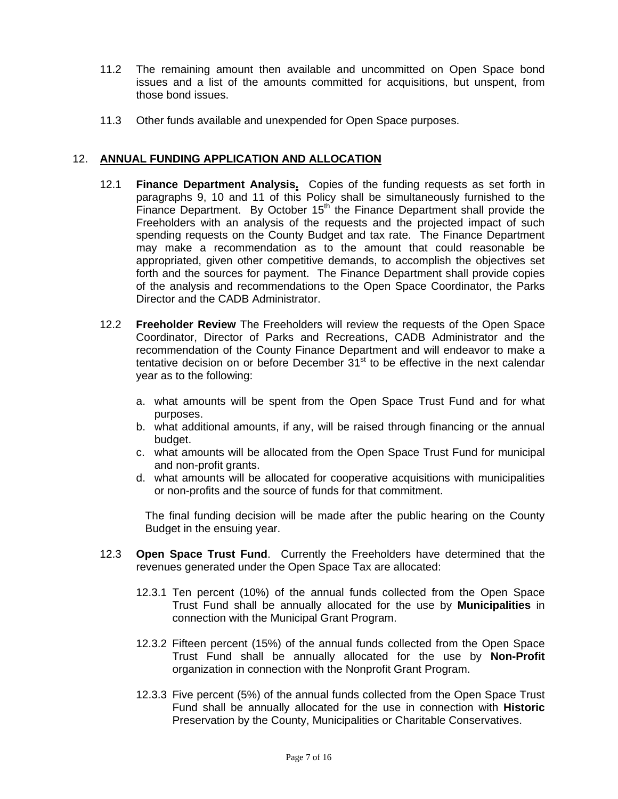- 11.2 The remaining amount then available and uncommitted on Open Space bond issues and a list of the amounts committed for acquisitions, but unspent, from those bond issues.
- 11.3 Other funds available and unexpended for Open Space purposes.

## 12. **ANNUAL FUNDING APPLICATION AND ALLOCATION**

- 12.1 **Finance Department Analysis.** Copies of the funding requests as set forth in paragraphs 9, 10 and 11 of this Policy shall be simultaneously furnished to the Finance Department. By October  $15<sup>th</sup>$  the Finance Department shall provide the Freeholders with an analysis of the requests and the projected impact of such spending requests on the County Budget and tax rate. The Finance Department may make a recommendation as to the amount that could reasonable be appropriated, given other competitive demands, to accomplish the objectives set forth and the sources for payment. The Finance Department shall provide copies of the analysis and recommendations to the Open Space Coordinator, the Parks Director and the CADB Administrator.
- 12.2 **Freeholder Review** The Freeholders will review the requests of the Open Space Coordinator, Director of Parks and Recreations, CADB Administrator and the recommendation of the County Finance Department and will endeavor to make a tentative decision on or before December  $31<sup>st</sup>$  to be effective in the next calendar year as to the following:
	- a. what amounts will be spent from the Open Space Trust Fund and for what purposes.
	- b. what additional amounts, if any, will be raised through financing or the annual budget.
	- c. what amounts will be allocated from the Open Space Trust Fund for municipal and non-profit grants.
	- d. what amounts will be allocated for cooperative acquisitions with municipalities or non-profits and the source of funds for that commitment.

The final funding decision will be made after the public hearing on the County Budget in the ensuing year.

- 12.3 **Open Space Trust Fund**. Currently the Freeholders have determined that the revenues generated under the Open Space Tax are allocated:
	- 12.3.1 Ten percent (10%) of the annual funds collected from the Open Space Trust Fund shall be annually allocated for the use by **Municipalities** in connection with the Municipal Grant Program.
	- 12.3.2 Fifteen percent (15%) of the annual funds collected from the Open Space Trust Fund shall be annually allocated for the use by **Non-Profit** organization in connection with the Nonprofit Grant Program.
	- 12.3.3 Five percent (5%) of the annual funds collected from the Open Space Trust Fund shall be annually allocated for the use in connection with **Historic** Preservation by the County, Municipalities or Charitable Conservatives.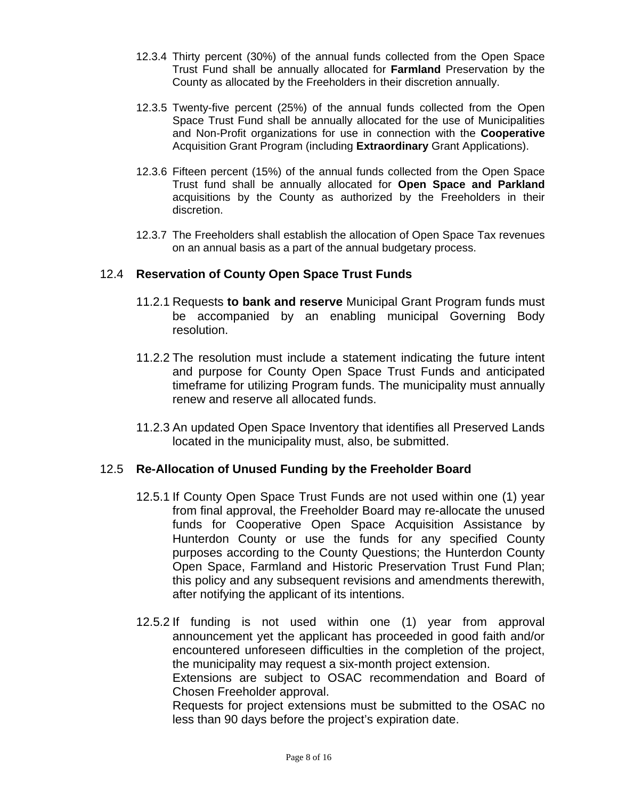- 12.3.4 Thirty percent (30%) of the annual funds collected from the Open Space Trust Fund shall be annually allocated for **Farmland** Preservation by the County as allocated by the Freeholders in their discretion annually.
- 12.3.5 Twenty-five percent (25%) of the annual funds collected from the Open Space Trust Fund shall be annually allocated for the use of Municipalities and Non-Profit organizations for use in connection with the **Cooperative** Acquisition Grant Program (including **Extraordinary** Grant Applications).
- 12.3.6 Fifteen percent (15%) of the annual funds collected from the Open Space Trust fund shall be annually allocated for **Open Space and Parkland** acquisitions by the County as authorized by the Freeholders in their discretion.
- 12.3.7 The Freeholders shall establish the allocation of Open Space Tax revenues on an annual basis as a part of the annual budgetary process.

# 12.4 **Reservation of County Open Space Trust Funds**

- 11.2.1 Requests **to bank and reserve** Municipal Grant Program funds must be accompanied by an enabling municipal Governing Body resolution.
- 11.2.2 The resolution must include a statement indicating the future intent and purpose for County Open Space Trust Funds and anticipated timeframe for utilizing Program funds. The municipality must annually renew and reserve all allocated funds.
- 11.2.3 An updated Open Space Inventory that identifies all Preserved Lands located in the municipality must, also, be submitted.

# 12.5 **Re-Allocation of Unused Funding by the Freeholder Board**

- 12.5.1 If County Open Space Trust Funds are not used within one (1) year from final approval, the Freeholder Board may re-allocate the unused funds for Cooperative Open Space Acquisition Assistance by Hunterdon County or use the funds for any specified County purposes according to the County Questions; the Hunterdon County Open Space, Farmland and Historic Preservation Trust Fund Plan; this policy and any subsequent revisions and amendments therewith, after notifying the applicant of its intentions.
- 12.5.2 If funding is not used within one (1) year from approval announcement yet the applicant has proceeded in good faith and/or encountered unforeseen difficulties in the completion of the project, the municipality may request a six-month project extension.

Extensions are subject to OSAC recommendation and Board of Chosen Freeholder approval.

Requests for project extensions must be submitted to the OSAC no less than 90 days before the project's expiration date.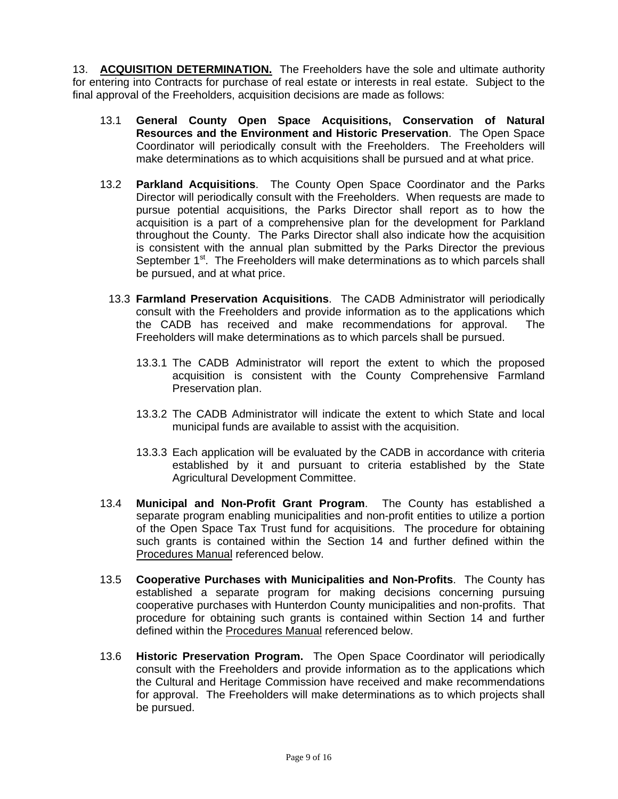13. **ACQUISITION DETERMINATION.** The Freeholders have the sole and ultimate authority for entering into Contracts for purchase of real estate or interests in real estate. Subject to the final approval of the Freeholders, acquisition decisions are made as follows:

- 13.1 **General County Open Space Acquisitions, Conservation of Natural Resources and the Environment and Historic Preservation**. The Open Space Coordinator will periodically consult with the Freeholders. The Freeholders will make determinations as to which acquisitions shall be pursued and at what price.
- 13.2 **Parkland Acquisitions**. The County Open Space Coordinator and the Parks Director will periodically consult with the Freeholders. When requests are made to pursue potential acquisitions, the Parks Director shall report as to how the acquisition is a part of a comprehensive plan for the development for Parkland throughout the County. The Parks Director shall also indicate how the acquisition is consistent with the annual plan submitted by the Parks Director the previous September 1<sup>st</sup>. The Freeholders will make determinations as to which parcels shall be pursued, and at what price.
	- 13.3 **Farmland Preservation Acquisitions**. The CADB Administrator will periodically consult with the Freeholders and provide information as to the applications which the CADB has received and make recommendations for approval. The Freeholders will make determinations as to which parcels shall be pursued.
		- 13.3.1 The CADB Administrator will report the extent to which the proposed acquisition is consistent with the County Comprehensive Farmland Preservation plan.
		- 13.3.2 The CADB Administrator will indicate the extent to which State and local municipal funds are available to assist with the acquisition.
		- 13.3.3 Each application will be evaluated by the CADB in accordance with criteria established by it and pursuant to criteria established by the State Agricultural Development Committee.
- 13.4 **Municipal and Non-Profit Grant Program**. The County has established a separate program enabling municipalities and non-profit entities to utilize a portion of the Open Space Tax Trust fund for acquisitions. The procedure for obtaining such grants is contained within the Section 14 and further defined within the Procedures Manual referenced below.
- 13.5 **Cooperative Purchases with Municipalities and Non-Profits**. The County has established a separate program for making decisions concerning pursuing cooperative purchases with Hunterdon County municipalities and non-profits. That procedure for obtaining such grants is contained within Section 14 and further defined within the Procedures Manual referenced below.
- 13.6 **Historic Preservation Program.** The Open Space Coordinator will periodically consult with the Freeholders and provide information as to the applications which the Cultural and Heritage Commission have received and make recommendations for approval. The Freeholders will make determinations as to which projects shall be pursued.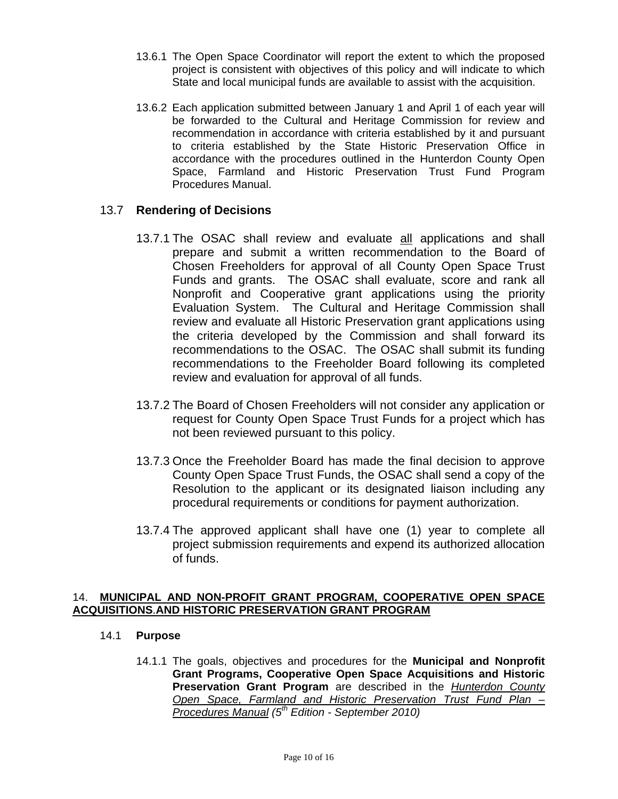- 13.6.1 The Open Space Coordinator will report the extent to which the proposed project is consistent with objectives of this policy and will indicate to which State and local municipal funds are available to assist with the acquisition.
- 13.6.2 Each application submitted between January 1 and April 1 of each year will be forwarded to the Cultural and Heritage Commission for review and recommendation in accordance with criteria established by it and pursuant to criteria established by the State Historic Preservation Office in accordance with the procedures outlined in the Hunterdon County Open Space, Farmland and Historic Preservation Trust Fund Program Procedures Manual.

# 13.7 **Rendering of Decisions**

- 13.7.1 The OSAC shall review and evaluate all applications and shall prepare and submit a written recommendation to the Board of Chosen Freeholders for approval of all County Open Space Trust Funds and grants. The OSAC shall evaluate, score and rank all Nonprofit and Cooperative grant applications using the priority Evaluation System. The Cultural and Heritage Commission shall review and evaluate all Historic Preservation grant applications using the criteria developed by the Commission and shall forward its recommendations to the OSAC. The OSAC shall submit its funding recommendations to the Freeholder Board following its completed review and evaluation for approval of all funds.
- 13.7.2 The Board of Chosen Freeholders will not consider any application or request for County Open Space Trust Funds for a project which has not been reviewed pursuant to this policy.
- 13.7.3 Once the Freeholder Board has made the final decision to approve County Open Space Trust Funds, the OSAC shall send a copy of the Resolution to the applicant or its designated liaison including any procedural requirements or conditions for payment authorization.
- 13.7.4 The approved applicant shall have one (1) year to complete all project submission requirements and expend its authorized allocation of funds.

### 14. **MUNICIPAL AND NON-PROFIT GRANT PROGRAM, COOPERATIVE OPEN SPACE ACQUISITIONS**.**AND HISTORIC PRESERVATION GRANT PROGRAM**

## 14.1 **Purpose**

14.1.1 The goals, objectives and procedures for the **Municipal and Nonprofit Grant Programs, Cooperative Open Space Acquisitions and Historic Preservation Grant Program** are described in the *Hunterdon County Open Space, Farmland and Historic Preservation Trust Fund Plan – Procedures Manual (5th Edition - September 2010)*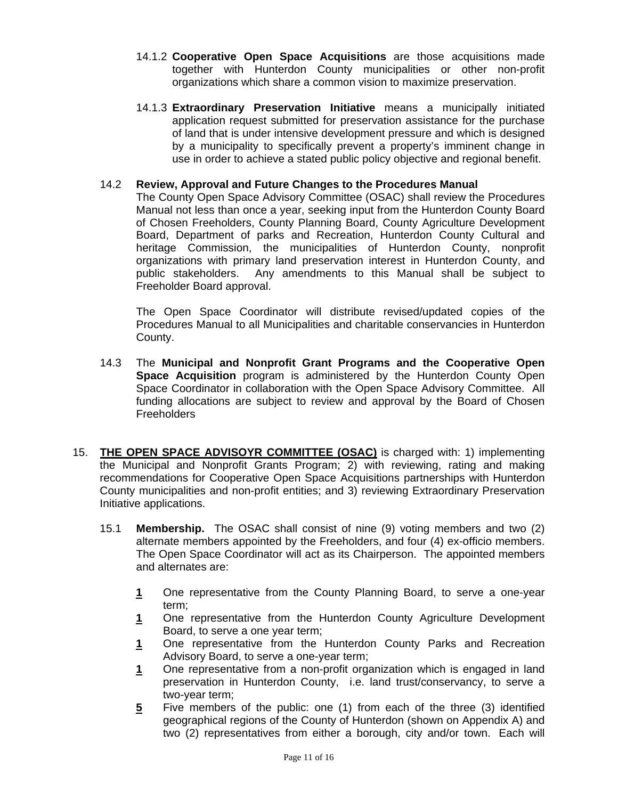- 14.1.2 **Cooperative Open Space Acquisitions** are those acquisitions made together with Hunterdon County municipalities or other non-profit organizations which share a common vision to maximize preservation.
- 14.1.3 **Extraordinary Preservation Initiative** means a municipally initiated application request submitted for preservation assistance for the purchase of land that is under intensive development pressure and which is designed by a municipality to specifically prevent a property's imminent change in use in order to achieve a stated public policy objective and regional benefit.

### 14.2 **Review, Approval and Future Changes to the Procedures Manual**

The County Open Space Advisory Committee (OSAC) shall review the Procedures Manual not less than once a year, seeking input from the Hunterdon County Board of Chosen Freeholders, County Planning Board, County Agriculture Development Board, Department of parks and Recreation, Hunterdon County Cultural and heritage Commission, the municipalities of Hunterdon County, nonprofit organizations with primary land preservation interest in Hunterdon County, and public stakeholders. Any amendments to this Manual shall be subject to Freeholder Board approval.

The Open Space Coordinator will distribute revised/updated copies of the Procedures Manual to all Municipalities and charitable conservancies in Hunterdon County.

- 14.3 The **Municipal and Nonprofit Grant Programs and the Cooperative Open Space Acquisition** program is administered by the Hunterdon County Open Space Coordinator in collaboration with the Open Space Advisory Committee. All funding allocations are subject to review and approval by the Board of Chosen **Freeholders**
- 15. **THE OPEN SPACE ADVISOYR COMMITTEE (OSAC)** is charged with: 1) implementing the Municipal and Nonprofit Grants Program; 2) with reviewing, rating and making recommendations for Cooperative Open Space Acquisitions partnerships with Hunterdon County municipalities and non-profit entities; and 3) reviewing Extraordinary Preservation Initiative applications.
	- 15.1 **Membership.** The OSAC shall consist of nine (9) voting members and two (2) alternate members appointed by the Freeholders, and four (4) ex-officio members. The Open Space Coordinator will act as its Chairperson. The appointed members and alternates are:
		- **1** One representative from the County Planning Board, to serve a one-year term;
		- **1** One representative from the Hunterdon County Agriculture Development Board, to serve a one year term;
		- **1** One representative from the Hunterdon County Parks and Recreation Advisory Board, to serve a one-year term;
		- **1** One representative from a non-profit organization which is engaged in land preservation in Hunterdon County, i.e. land trust/conservancy, to serve a two-year term;
		- **5** Five members of the public: one (1) from each of the three (3) identified geographical regions of the County of Hunterdon (shown on Appendix A) and two (2) representatives from either a borough, city and/or town. Each will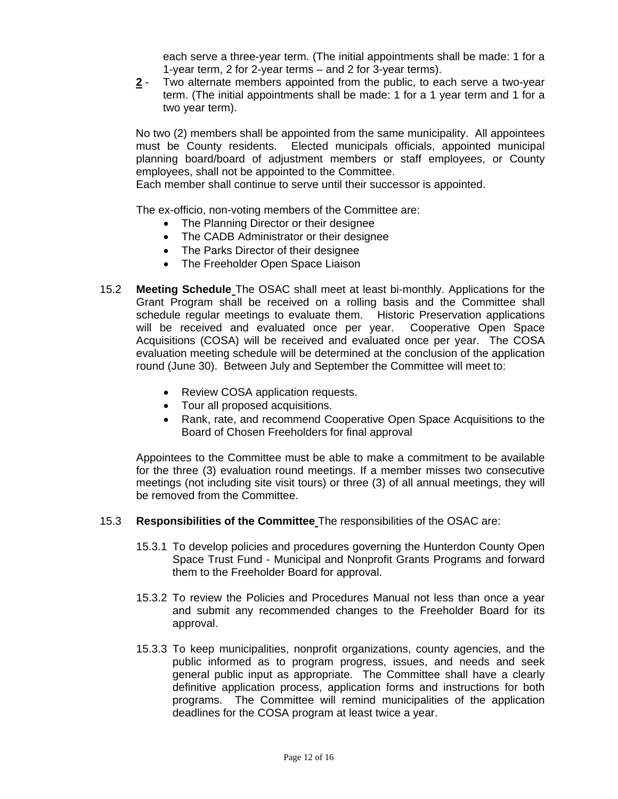each serve a three-year term. (The initial appointments shall be made: 1 for a 1-year term, 2 for 2-year terms – and 2 for 3-year terms).

**2** - Two alternate members appointed from the public, to each serve a two-year term. (The initial appointments shall be made: 1 for a 1 year term and 1 for a two year term).

No two (2) members shall be appointed from the same municipality. All appointees must be County residents. Elected municipals officials, appointed municipal planning board/board of adjustment members or staff employees, or County employees, shall not be appointed to the Committee.

Each member shall continue to serve until their successor is appointed.

The ex-officio, non-voting members of the Committee are:

- The Planning Director or their designee
- The CADB Administrator or their designee
- The Parks Director of their designee
- The Freeholder Open Space Liaison
- 15.2 **Meeting Schedule** The OSAC shall meet at least bi-monthly. Applications for the Grant Program shall be received on a rolling basis and the Committee shall schedule regular meetings to evaluate them. Historic Preservation applications will be received and evaluated once per year. Cooperative Open Space Acquisitions (COSA) will be received and evaluated once per year. The COSA evaluation meeting schedule will be determined at the conclusion of the application round (June 30). Between July and September the Committee will meet to:
	- Review COSA application requests.
	- Tour all proposed acquisitions.
	- Rank, rate, and recommend Cooperative Open Space Acquisitions to the Board of Chosen Freeholders for final approval

Appointees to the Committee must be able to make a commitment to be available for the three (3) evaluation round meetings. If a member misses two consecutive meetings (not including site visit tours) or three (3) of all annual meetings, they will be removed from the Committee.

- 15.3 **Responsibilities of the Committee** The responsibilities of the OSAC are:
	- 15.3.1 To develop policies and procedures governing the Hunterdon County Open Space Trust Fund - Municipal and Nonprofit Grants Programs and forward them to the Freeholder Board for approval.
	- 15.3.2 To review the Policies and Procedures Manual not less than once a year and submit any recommended changes to the Freeholder Board for its approval.
	- 15.3.3 To keep municipalities, nonprofit organizations, county agencies, and the public informed as to program progress, issues, and needs and seek general public input as appropriate. The Committee shall have a clearly definitive application process, application forms and instructions for both programs. The Committee will remind municipalities of the application deadlines for the COSA program at least twice a year.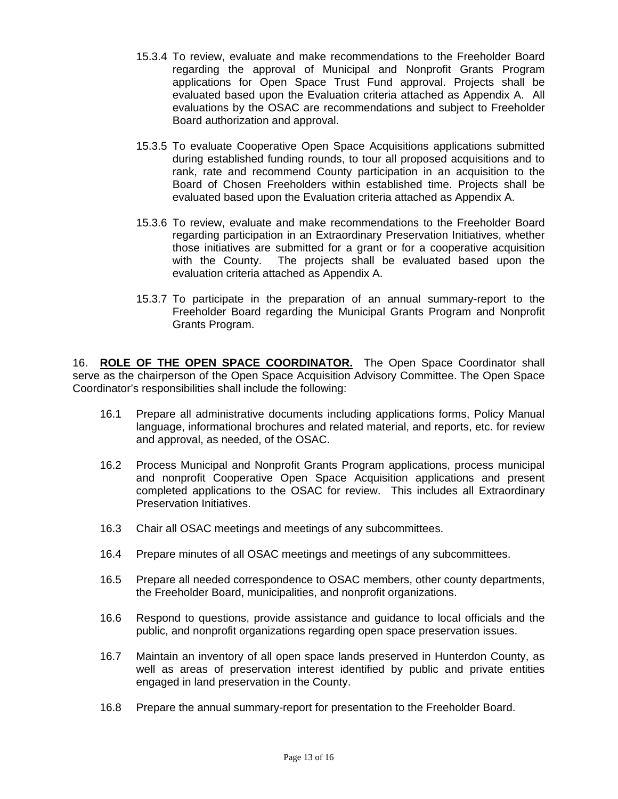- 15.3.4 To review, evaluate and make recommendations to the Freeholder Board regarding the approval of Municipal and Nonprofit Grants Program applications for Open Space Trust Fund approval. Projects shall be evaluated based upon the Evaluation criteria attached as Appendix A. All evaluations by the OSAC are recommendations and subject to Freeholder Board authorization and approval.
- 15.3.5 To evaluate Cooperative Open Space Acquisitions applications submitted during established funding rounds, to tour all proposed acquisitions and to rank, rate and recommend County participation in an acquisition to the Board of Chosen Freeholders within established time. Projects shall be evaluated based upon the Evaluation criteria attached as Appendix A.
- 15.3.6 To review, evaluate and make recommendations to the Freeholder Board regarding participation in an Extraordinary Preservation Initiatives, whether those initiatives are submitted for a grant or for a cooperative acquisition with the County. The projects shall be evaluated based upon the evaluation criteria attached as Appendix A.
- 15.3.7 To participate in the preparation of an annual summary-report to the Freeholder Board regarding the Municipal Grants Program and Nonprofit Grants Program.

16. **ROLE OF THE OPEN SPACE COORDINATOR.** The Open Space Coordinator shall serve as the chairperson of the Open Space Acquisition Advisory Committee. The Open Space Coordinator's responsibilities shall include the following:

- 16.1 Prepare all administrative documents including applications forms, Policy Manual language, informational brochures and related material, and reports, etc. for review and approval, as needed, of the OSAC.
- 16.2 Process Municipal and Nonprofit Grants Program applications, process municipal and nonprofit Cooperative Open Space Acquisition applications and present completed applications to the OSAC for review. This includes all Extraordinary Preservation Initiatives.
- 16.3 Chair all OSAC meetings and meetings of any subcommittees.
- 16.4 Prepare minutes of all OSAC meetings and meetings of any subcommittees.
- 16.5 Prepare all needed correspondence to OSAC members, other county departments, the Freeholder Board, municipalities, and nonprofit organizations.
- 16.6 Respond to questions, provide assistance and guidance to local officials and the public, and nonprofit organizations regarding open space preservation issues.
- 16.7 Maintain an inventory of all open space lands preserved in Hunterdon County, as well as areas of preservation interest identified by public and private entities engaged in land preservation in the County.
- 16.8 Prepare the annual summary-report for presentation to the Freeholder Board.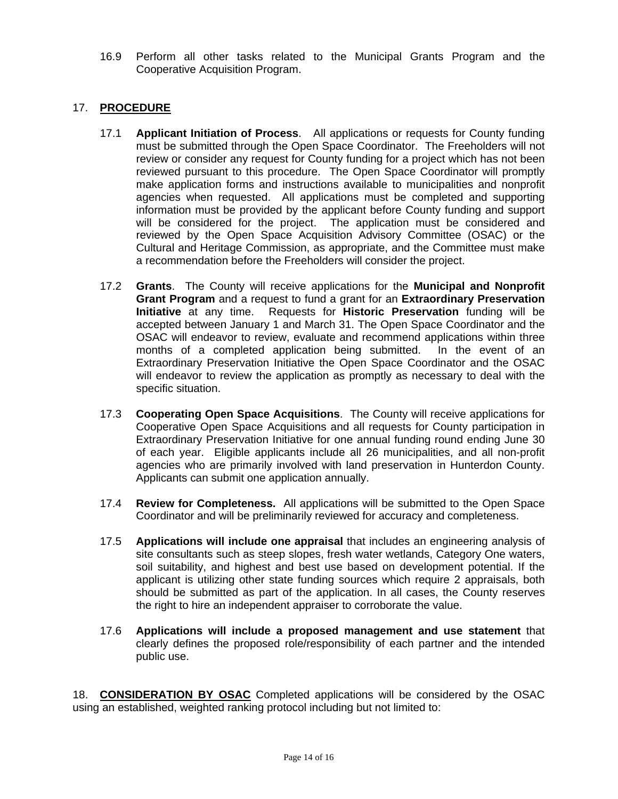16.9 Perform all other tasks related to the Municipal Grants Program and the Cooperative Acquisition Program.

## 17. **PROCEDURE**

- 17.1 **Applicant Initiation of Process**. All applications or requests for County funding must be submitted through the Open Space Coordinator. The Freeholders will not review or consider any request for County funding for a project which has not been reviewed pursuant to this procedure. The Open Space Coordinator will promptly make application forms and instructions available to municipalities and nonprofit agencies when requested. All applications must be completed and supporting information must be provided by the applicant before County funding and support will be considered for the project. The application must be considered and reviewed by the Open Space Acquisition Advisory Committee (OSAC) or the Cultural and Heritage Commission, as appropriate, and the Committee must make a recommendation before the Freeholders will consider the project.
- 17.2 **Grants**. The County will receive applications for the **Municipal and Nonprofit Grant Program** and a request to fund a grant for an **Extraordinary Preservation Initiative** at any time. Requests for **Historic Preservation** funding will be accepted between January 1 and March 31. The Open Space Coordinator and the OSAC will endeavor to review, evaluate and recommend applications within three months of a completed application being submitted. In the event of an Extraordinary Preservation Initiative the Open Space Coordinator and the OSAC will endeavor to review the application as promptly as necessary to deal with the specific situation.
- 17.3 **Cooperating Open Space Acquisitions**. The County will receive applications for Cooperative Open Space Acquisitions and all requests for County participation in Extraordinary Preservation Initiative for one annual funding round ending June 30 of each year. Eligible applicants include all 26 municipalities, and all non-profit agencies who are primarily involved with land preservation in Hunterdon County. Applicants can submit one application annually.
- 17.4 **Review for Completeness.** All applications will be submitted to the Open Space Coordinator and will be preliminarily reviewed for accuracy and completeness.
- 17.5 **Applications will include one appraisal** that includes an engineering analysis of site consultants such as steep slopes, fresh water wetlands, Category One waters, soil suitability, and highest and best use based on development potential. If the applicant is utilizing other state funding sources which require 2 appraisals, both should be submitted as part of the application. In all cases, the County reserves the right to hire an independent appraiser to corroborate the value.
- 17.6 **Applications will include a proposed management and use statement** that clearly defines the proposed role/responsibility of each partner and the intended public use.

18. **CONSIDERATION BY OSAC** Completed applications will be considered by the OSAC using an established, weighted ranking protocol including but not limited to: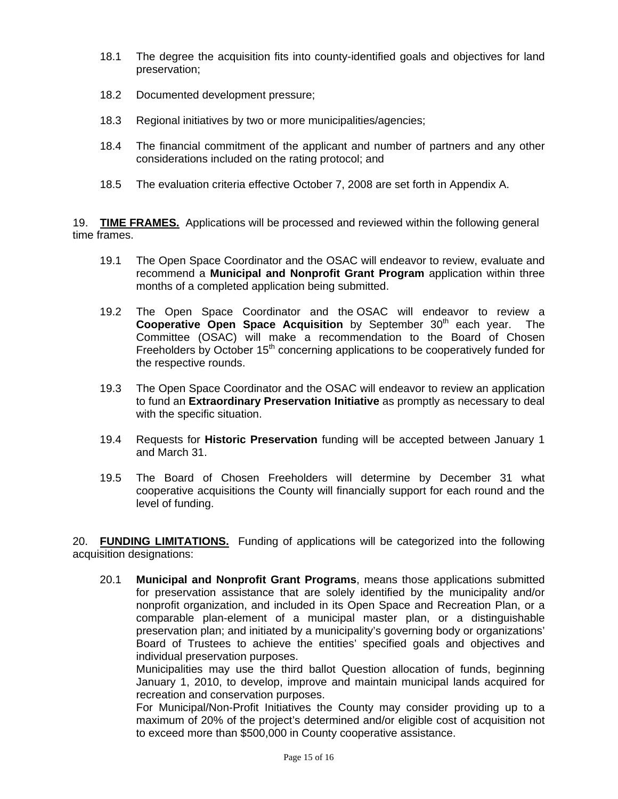- 18.1 The degree the acquisition fits into county-identified goals and objectives for land preservation;
- 18.2 Documented development pressure;
- 18.3 Regional initiatives by two or more municipalities/agencies;
- 18.4 The financial commitment of the applicant and number of partners and any other considerations included on the rating protocol; and
- 18.5 The evaluation criteria effective October 7, 2008 are set forth in Appendix A.

19. **TIME FRAMES.** Applications will be processed and reviewed within the following general time frames.

- 19.1 The Open Space Coordinator and the OSAC will endeavor to review, evaluate and recommend a **Municipal and Nonprofit Grant Program** application within three months of a completed application being submitted.
- 19.2 The Open Space Coordinator and the OSAC will endeavor to review a **Cooperative Open Space Acquisition** by September 30<sup>th</sup> each year. The Committee (OSAC) will make a recommendation to the Board of Chosen Freeholders by October  $15<sup>th</sup>$  concerning applications to be cooperatively funded for the respective rounds.
- 19.3 The Open Space Coordinator and the OSAC will endeavor to review an application to fund an **Extraordinary Preservation Initiative** as promptly as necessary to deal with the specific situation.
- 19.4 Requests for **Historic Preservation** funding will be accepted between January 1 and March 31.
- 19.5 The Board of Chosen Freeholders will determine by December 31 what cooperative acquisitions the County will financially support for each round and the level of funding.

20. **FUNDING LIMITATIONS.** Funding of applications will be categorized into the following acquisition designations:

20.1 **Municipal and Nonprofit Grant Programs**, means those applications submitted for preservation assistance that are solely identified by the municipality and/or nonprofit organization, and included in its Open Space and Recreation Plan, or a comparable plan-element of a municipal master plan, or a distinguishable preservation plan; and initiated by a municipality's governing body or organizations' Board of Trustees to achieve the entities' specified goals and objectives and individual preservation purposes.

Municipalities may use the third ballot Question allocation of funds, beginning January 1, 2010, to develop, improve and maintain municipal lands acquired for recreation and conservation purposes.

For Municipal/Non-Profit Initiatives the County may consider providing up to a maximum of 20% of the project's determined and/or eligible cost of acquisition not to exceed more than \$500,000 in County cooperative assistance.